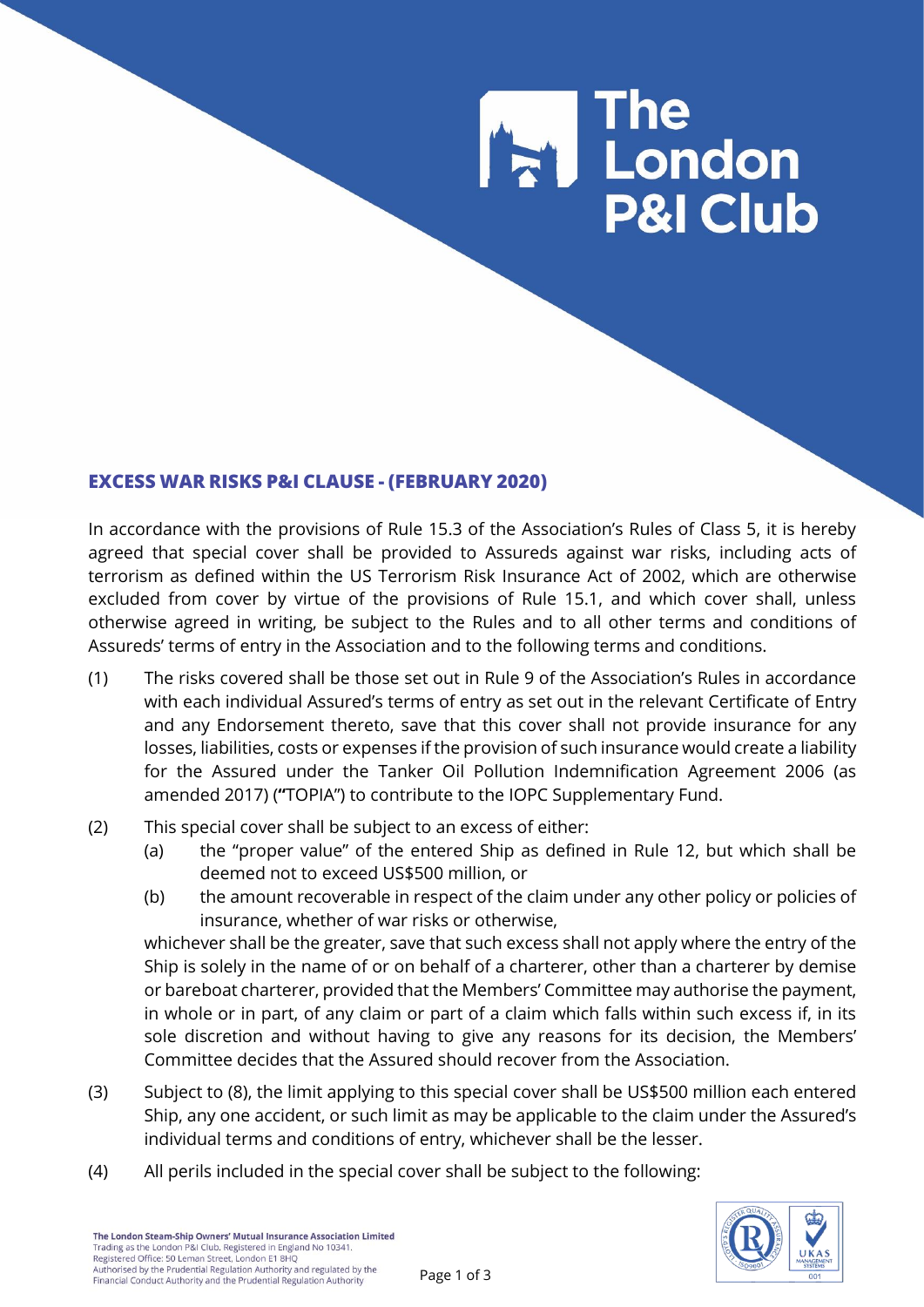## **E** The<br>E London **P&I Club**

## **EXCESS WAR RISKS P&I CLAUSE - (FEBRUARY 2020)**

In accordance with the provisions of Rule 15.3 of the Association's Rules of Class 5, it is hereby agreed that special cover shall be provided to Assureds against war risks, including acts of terrorism as defined within the US Terrorism Risk Insurance Act of 2002, which are otherwise excluded from cover by virtue of the provisions of Rule 15.1, and which cover shall, unless otherwise agreed in writing, be subject to the Rules and to all other terms and conditions of Assureds' terms of entry in the Association and to the following terms and conditions.

- (1) The risks covered shall be those set out in Rule 9 of the Association's Rules in accordance with each individual Assured's terms of entry as set out in the relevant Certificate of Entry and any Endorsement thereto, save that this cover shall not provide insurance for any losses, liabilities, costs or expenses if the provision of such insurance would create a liability for the Assured under the Tanker Oil Pollution Indemnification Agreement 2006 (as amended 2017) (**"**TOPIA") to contribute to the IOPC Supplementary Fund.
- (2) This special cover shall be subject to an excess of either:
	- (a) the "proper value" of the entered Ship as defined in Rule 12, but which shall be deemed not to exceed US\$500 million, or
	- (b) the amount recoverable in respect of the claim under any other policy or policies of insurance, whether of war risks or otherwise,

whichever shall be the greater, save that such excess shall not apply where the entry of the Ship is solely in the name of or on behalf of a charterer, other than a charterer by demise or bareboat charterer, provided that the Members' Committee may authorise the payment, in whole or in part, of any claim or part of a claim which falls within such excess if, in its sole discretion and without having to give any reasons for its decision, the Members' Committee decides that the Assured should recover from the Association.

- (3) Subject to (8), the limit applying to this special cover shall be US\$500 million each entered Ship, any one accident, or such limit as may be applicable to the claim under the Assured's individual terms and conditions of entry, whichever shall be the lesser.
- (4) All perils included in the special cover shall be subject to the following:

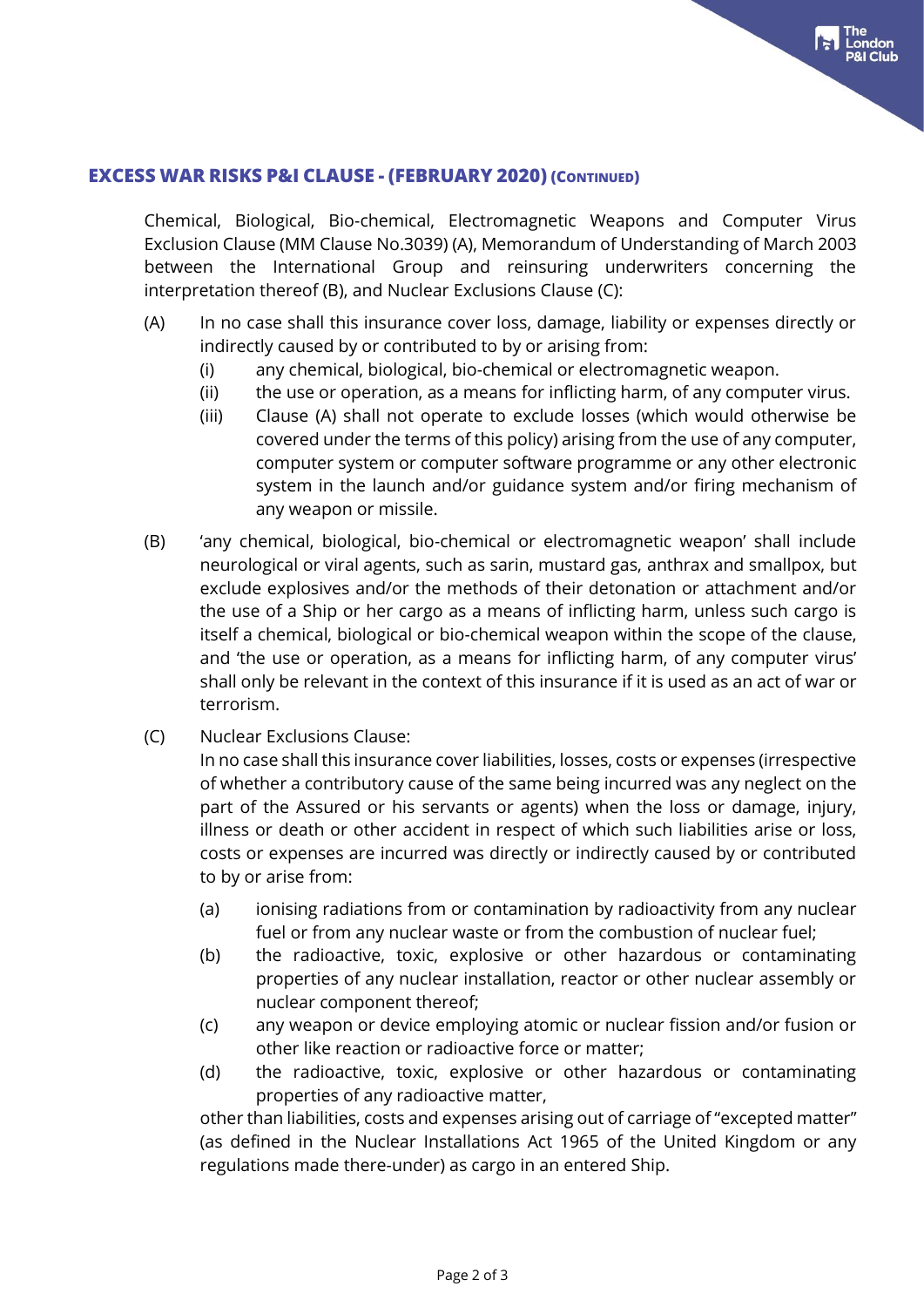## **EXCESS WAR RISKS P&I CLAUSE - (FEBRUARY 2020) (CONTINUED)**

Chemical, Biological, Bio-chemical, Electromagnetic Weapons and Computer Virus Exclusion Clause (MM Clause No.3039) (A), Memorandum of Understanding of March 2003 between the International Group and reinsuring underwriters concerning the interpretation thereof (B), and Nuclear Exclusions Clause (C):

- (A) In no case shall this insurance cover loss, damage, liability or expenses directly or indirectly caused by or contributed to by or arising from:
	- (i) any chemical, biological, bio-chemical or electromagnetic weapon.
	- (ii) the use or operation, as a means for inflicting harm, of any computer virus.
	- (iii) Clause (A) shall not operate to exclude losses (which would otherwise be covered under the terms of this policy) arising from the use of any computer, computer system or computer software programme or any other electronic system in the launch and/or guidance system and/or firing mechanism of any weapon or missile.
- (B) 'any chemical, biological, bio-chemical or electromagnetic weapon' shall include neurological or viral agents, such as sarin, mustard gas, anthrax and smallpox, but exclude explosives and/or the methods of their detonation or attachment and/or the use of a Ship or her cargo as a means of inflicting harm, unless such cargo is itself a chemical, biological or bio-chemical weapon within the scope of the clause, and 'the use or operation, as a means for inflicting harm, of any computer virus' shall only be relevant in the context of this insurance if it is used as an act of war or terrorism.
- (C) Nuclear Exclusions Clause:

In no case shall this insurance cover liabilities, losses, costs or expenses (irrespective of whether a contributory cause of the same being incurred was any neglect on the part of the Assured or his servants or agents) when the loss or damage, injury, illness or death or other accident in respect of which such liabilities arise or loss, costs or expenses are incurred was directly or indirectly caused by or contributed to by or arise from:

- (a) ionising radiations from or contamination by radioactivity from any nuclear fuel or from any nuclear waste or from the combustion of nuclear fuel;
- (b) the radioactive, toxic, explosive or other hazardous or contaminating properties of any nuclear installation, reactor or other nuclear assembly or nuclear component thereof;
- (c) any weapon or device employing atomic or nuclear fission and/or fusion or other like reaction or radioactive force or matter;
- (d) the radioactive, toxic, explosive or other hazardous or contaminating properties of any radioactive matter,

other than liabilities, costs and expenses arising out of carriage of "excepted matter" (as defined in the Nuclear Installations Act 1965 of the United Kingdom or any regulations made there-under) as cargo in an entered Ship.